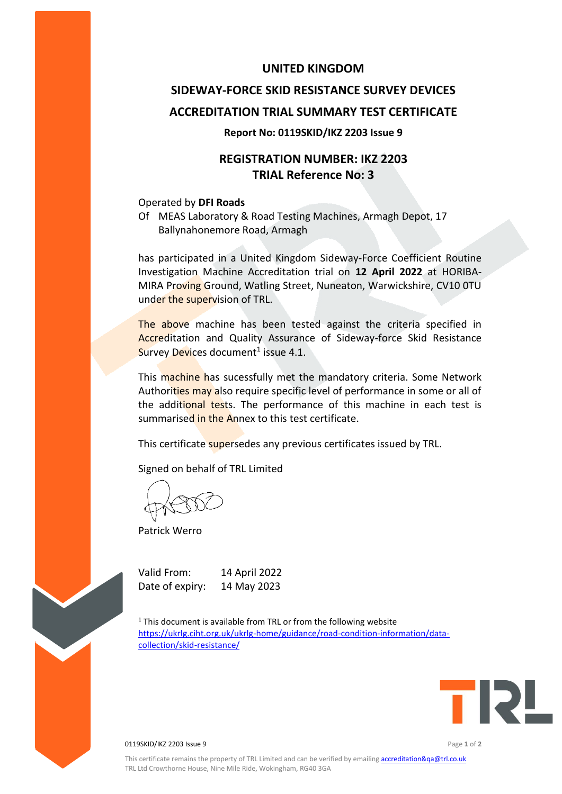## **UNITED KINGDOM**

# **SIDEWAY-FORCE SKID RESISTANCE SURVEY DEVICES ACCREDITATION TRIAL SUMMARY TEST CERTIFICATE**

### **Report No: 0119SKID/IKZ 2203 Issue 9**

# **REGISTRATION NUMBER: IKZ 2203 TRIAL Reference No: 3**

#### Operated by **DFI Roads**

Of MEAS Laboratory & Road Testing Machines, Armagh Depot, 17 Ballynahonemore Road, Armagh

has participated in a United Kingdom Sideway-Force Coefficient Routine Investigation Machine Accreditation trial on **12 April 2022** at HORIBA-MIRA Proving Ground, Watling Street, Nuneaton, Warwickshire, CV10 0TU under the supervision of TRL.

The above machine has been tested against the criteria specified in Accreditation and Quality Assurance of Sideway-force Skid Resistance Survey Devices document<sup>1</sup> issue 4.1.

This machine has sucessfully met the mandatory criteria. Some Network Authorities may also require specific level of performance in some or all of the additional tests. The performance of this machine in each test is summarised in the Annex to this test certificate.

This certificate supersedes any previous certificates issued by TRL.

Signed on behalf of TRL Limited

Patrick Werro

Valid From: 14 April 2022 Date of expiry: 14 May 2023

 $1$ <sup>1</sup> This document is available from TRL or from the following website [https://ukrlg.ciht.org.uk/ukrlg-home/guidance/road-condition-information/data](https://ukrlg.ciht.org.uk/ukrlg-home/guidance/road-condition-information/data-collection/skid-resistance/)[collection/skid-resistance/](https://ukrlg.ciht.org.uk/ukrlg-home/guidance/road-condition-information/data-collection/skid-resistance/)



0119SKID/IKZ 2203 Issue 9 Page **1** of **2**

This certificate remains the property of TRL Limited and can be verified by emailin[g accreditation&qa@trl.co.uk](mailto:accreditation&qa@trl.co.uk) TRL Ltd Crowthorne House, Nine Mile Ride, Wokingham, RG40 3GA